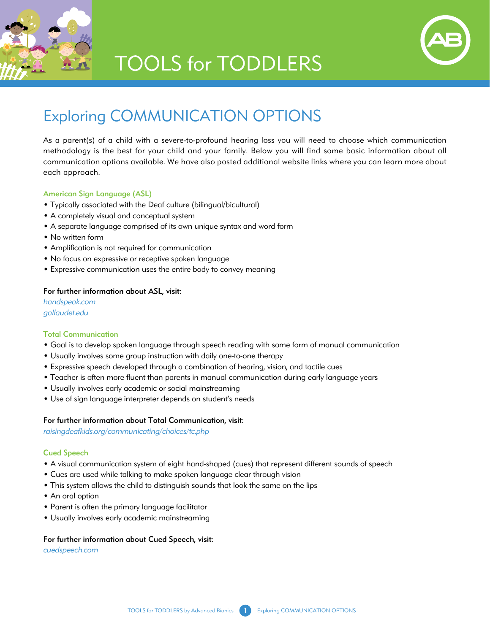

## **TOOLS for TODDLERS**



### Exploring COMMUNICATION OPTIONS

As a parent(s) of a child with a severe-to-profound hearing loss you will need to choose which communication methodology is the best for your child and your family. Below you will find some basic information about all communication options available. We have also posted additional website links where you can learn more about each approach.

### American Sign Language (ASL)

- Typically associated with the Deaf culture (bilingual/bicultural)
- A completely visual and conceptual system
- A separate language comprised of its own unique syntax and word form
- No written form
- Amplification is not required for communication
- No focus on expressive or receptive spoken language
- Expressive communication uses the entire body to convey meaning

#### For further information about ASL, visit:

*handspeak.com gallaudet.edu*

#### Total Communication

- Goal is to develop spoken language through speech reading with some form of manual communication
- Usually involves some group instruction with daily one-to-one therapy
- Expressive speech developed through a combination of hearing, vision, and tactile cues
- Teacher is often more fluent than parents in manual communication during early language years
- Usually involves early academic or social mainstreaming
- Use of sign language interpreter depends on student's needs

#### For further information about Total Communication, visit:

*raisingdeafkids.org/communicating/choices/tc.php*

#### Cued Speech

- A visual communication system of eight hand-shaped (cues) that represent different sounds of speech
- Cues are used while talking to make spoken language clear through vision
- This system allows the child to distinguish sounds that look the same on the lips
- An oral option
- Parent is often the primary language facilitator
- Usually involves early academic mainstreaming

#### For further information about Cued Speech, visit:

*cuedspeech.com*

TOOLS for TODDLERS by Advanced Bionics 1 Exploring COMMUNICATION OPTIONS